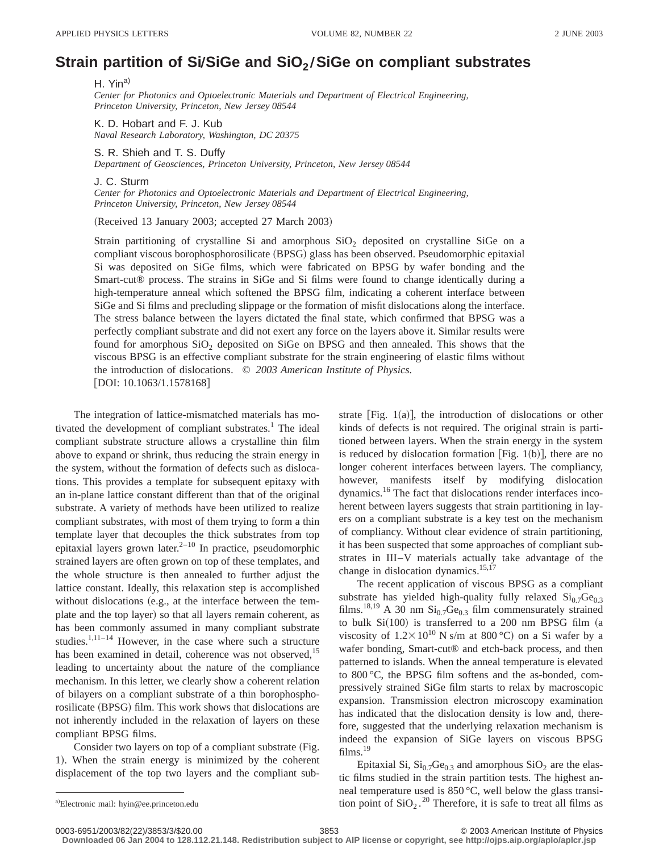## **Strain partition of Si/SiGe and SiO<sub>2</sub>/SiGe on compliant substrates**

H. Yin<sup>a)</sup> *Center for Photonics and Optoelectronic Materials and Department of Electrical Engineering, Princeton University, Princeton, New Jersey 08544*

K. D. Hobart and F. J. Kub *Naval Research Laboratory, Washington, DC 20375*

S. R. Shieh and T. S. Duffy *Department of Geosciences, Princeton University, Princeton, New Jersey 08544*

J. C. Sturm

*Center for Photonics and Optoelectronic Materials and Department of Electrical Engineering, Princeton University, Princeton, New Jersey 08544*

(Received 13 January 2003; accepted 27 March 2003)

Strain partitioning of crystalline Si and amorphous  $SiO<sub>2</sub>$  deposited on crystalline SiGe on a compliant viscous borophosphorosilicate (BPSG) glass has been observed. Pseudomorphic epitaxial Si was deposited on SiGe films, which were fabricated on BPSG by wafer bonding and the Smart-cut<sup>®</sup> process. The strains in SiGe and Si films were found to change identically during a high-temperature anneal which softened the BPSG film, indicating a coherent interface between SiGe and Si films and precluding slippage or the formation of misfit dislocations along the interface. The stress balance between the layers dictated the final state, which confirmed that BPSG was a perfectly compliant substrate and did not exert any force on the layers above it. Similar results were found for amorphous  $SiO<sub>2</sub>$  deposited on SiGe on BPSG and then annealed. This shows that the viscous BPSG is an effective compliant substrate for the strain engineering of elastic films without the introduction of dislocations. © *2003 American Institute of Physics.* [DOI: 10.1063/1.1578168]

The integration of lattice-mismatched materials has motivated the development of compliant substrates. $<sup>1</sup>$  The ideal</sup> compliant substrate structure allows a crystalline thin film above to expand or shrink, thus reducing the strain energy in the system, without the formation of defects such as dislocations. This provides a template for subsequent epitaxy with an in-plane lattice constant different than that of the original substrate. A variety of methods have been utilized to realize compliant substrates, with most of them trying to form a thin template layer that decouples the thick substrates from top epitaxial layers grown later. $2^{-10}$  In practice, pseudomorphic strained layers are often grown on top of these templates, and the whole structure is then annealed to further adjust the lattice constant. Ideally, this relaxation step is accomplished without dislocations (e.g., at the interface between the template and the top layer) so that all layers remain coherent, as has been commonly assumed in many compliant substrate studies.<sup>1,11–14</sup> However, in the case where such a structure has been examined in detail, coherence was not observed,<sup>15</sup> leading to uncertainty about the nature of the compliance mechanism. In this letter, we clearly show a coherent relation of bilayers on a compliant substrate of a thin borophosphorosilicate (BPSG) film. This work shows that dislocations are not inherently included in the relaxation of layers on these compliant BPSG films.

Consider two layers on top of a compliant substrate (Fig. 1). When the strain energy is minimized by the coherent displacement of the top two layers and the compliant substrate [Fig.  $1(a)$ ], the introduction of dislocations or other kinds of defects is not required. The original strain is partitioned between layers. When the strain energy in the system is reduced by dislocation formation [Fig. 1(b)], there are no longer coherent interfaces between layers. The compliancy, however, manifests itself by modifying dislocation dynamics.16 The fact that dislocations render interfaces incoherent between layers suggests that strain partitioning in layers on a compliant substrate is a key test on the mechanism of compliancy. Without clear evidence of strain partitioning, it has been suspected that some approaches of compliant substrates in III–V materials actually take advantage of the change in dislocation dynamics.<sup>15,17</sup>

The recent application of viscous BPSG as a compliant substrate has yielded high-quality fully relaxed  $Si<sub>0.7</sub>Ge<sub>0.3</sub>$ films.<sup>18,19</sup> A 30 nm  $Si<sub>0.7</sub>Ge<sub>0.3</sub>$  film commensurately strained to bulk  $Si(100)$  is transferred to a 200 nm BPSG film (a viscosity of  $1.2 \times 10^{10}$  N s/m at 800 °C) on a Si wafer by a wafer bonding, Smart-cut® and etch-back process, and then patterned to islands. When the anneal temperature is elevated to 800 °C, the BPSG film softens and the as-bonded, compressively strained SiGe film starts to relax by macroscopic expansion. Transmission electron microscopy examination has indicated that the dislocation density is low and, therefore, suggested that the underlying relaxation mechanism is indeed the expansion of SiGe layers on viscous BPSG films.<sup>19</sup>

Epitaxial Si,  $Si<sub>0.7</sub>Ge<sub>0.3</sub>$  and amorphous  $SiO<sub>2</sub>$  are the elastic films studied in the strain partition tests. The highest anneal temperature used is 850 °C, well below the glass transia)Electronic mail: hyin@ee.princeton.edu tion point of  $SiO_2$ .<sup>20</sup> Therefore, it is safe to treat all films as

a)Electronic mail: hyin@ee.princeton.edu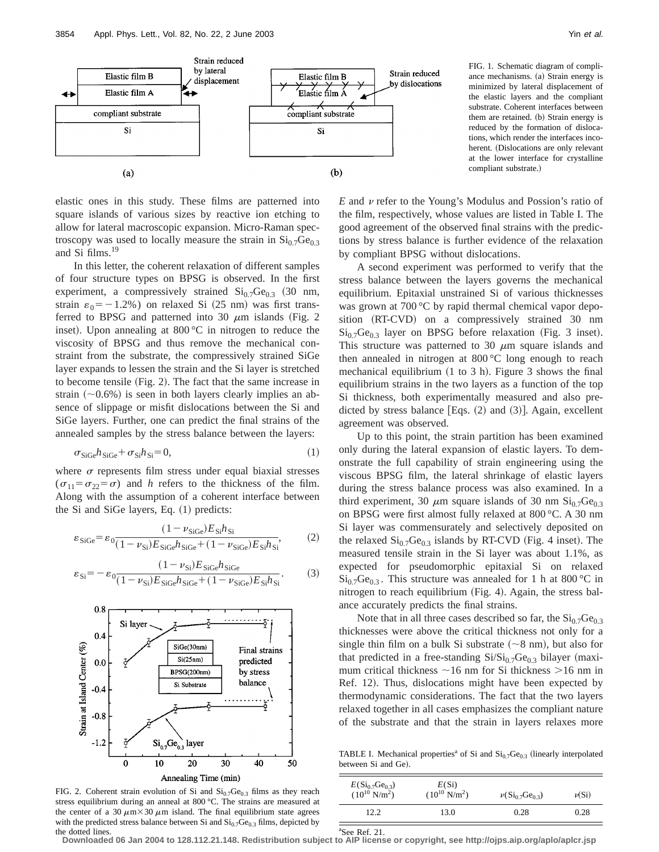

elastic ones in this study. These films are patterned into square islands of various sizes by reactive ion etching to allow for lateral macroscopic expansion. Micro-Raman spectroscopy was used to locally measure the strain in  $Si<sub>0.7</sub>Ge<sub>0.3</sub>$ and Si films.<sup>19</sup>

In this letter, the coherent relaxation of different samples of four structure types on BPSG is observed. In the first experiment, a compressively strained  $Si<sub>0.7</sub>Ge<sub>0.3</sub>$  (30 nm, strain  $\varepsilon_0 = -1.2\%$ ) on relaxed Si (25 nm) was first transferred to BPSG and patterned into 30  $\mu$ m islands (Fig. 2 inset). Upon annealing at  $800\,^{\circ}\text{C}$  in nitrogen to reduce the viscosity of BPSG and thus remove the mechanical constraint from the substrate, the compressively strained SiGe layer expands to lessen the strain and the Si layer is stretched to become tensile  $(Fig. 2)$ . The fact that the same increase in strain  $(\sim 0.6\%)$  is seen in both layers clearly implies an absence of slippage or misfit dislocations between the Si and SiGe layers. Further, one can predict the final strains of the annealed samples by the stress balance between the layers:

$$
\sigma_{\rm SiGe} h_{\rm SiGe} + \sigma_{\rm Si} h_{\rm Si} = 0,\tag{1}
$$

where  $\sigma$  represents film stress under equal biaxial stresses  $(\sigma_{11} = \sigma_{22} = \sigma)$  and *h* refers to the thickness of the film. Along with the assumption of a coherent interface between the Si and SiGe layers, Eq.  $(1)$  predicts:

$$
\varepsilon_{\text{SiGe}} = \varepsilon_0 \frac{(1 - \nu_{\text{SiGe}}) E_{\text{Si}} h_{\text{Si}}}{(1 - \nu_{\text{Si}}) E_{\text{SiGe}} h_{\text{SiGe}} + (1 - \nu_{\text{SiGe}}) E_{\text{Si}} h_{\text{Si}}},\tag{2}
$$

$$
\varepsilon_{\rm Si} = -\varepsilon_0 \frac{(1 - \nu_{\rm Si}) E_{\rm SiGe} h_{\rm SiGe}}{(1 - \nu_{\rm Si}) E_{\rm SiGe} h_{\rm SiGe} + (1 - \nu_{\rm SiGe}) E_{\rm Si} h_{\rm Si}}.\tag{3}
$$



FIG. 2. Coherent strain evolution of Si and  $Si<sub>0.7</sub>Ge<sub>0.3</sub>$  films as they reach stress equilibrium during an anneal at 800 °C. The strains are measured at the center of a 30  $\mu$ m×30  $\mu$ m island. The final equilibrium state agrees with the predicted stress balance between Si and  $Si<sub>0.7</sub>Ge<sub>0.3</sub>$  films, depicted by the dotted lines.

FIG. 1. Schematic diagram of compliance mechanisms. (a) Strain energy is minimized by lateral displacement of the elastic layers and the compliant substrate. Coherent interfaces between them are retained. (b) Strain energy is reduced by the formation of dislocations, which render the interfaces incoherent. (Dislocations are only relevant at the lower interface for crystalline compliant substrate.)

 $E$  and  $\nu$  refer to the Young's Modulus and Possion's ratio of the film, respectively, whose values are listed in Table I. The good agreement of the observed final strains with the predictions by stress balance is further evidence of the relaxation by compliant BPSG without dislocations.

A second experiment was performed to verify that the stress balance between the layers governs the mechanical equilibrium. Epitaxial unstrained Si of various thicknesses was grown at 700 °C by rapid thermal chemical vapor deposition (RT-CVD) on a compressively strained 30 nm  $Si<sub>0.7</sub>Ge<sub>0.3</sub>$  layer on BPSG before relaxation (Fig. 3 inset). This structure was patterned to 30  $\mu$ m square islands and then annealed in nitrogen at 800 °C long enough to reach mechanical equilibrium  $(1 \text{ to } 3 \text{ h})$ . Figure 3 shows the final equilibrium strains in the two layers as a function of the top Si thickness, both experimentally measured and also predicted by stress balance  $[Eqs. (2)$  and  $(3)]$ . Again, excellent agreement was observed.

Up to this point, the strain partition has been examined only during the lateral expansion of elastic layers. To demonstrate the full capability of strain engineering using the viscous BPSG film, the lateral shrinkage of elastic layers during the stress balance process was also examined. In a third experiment, 30  $\mu$ m square islands of 30 nm Si<sub>0.7</sub>Ge<sub>0.3</sub> on BPSG were first almost fully relaxed at 800 °C. A 30 nm Si layer was commensurately and selectively deposited on the relaxed  $Si<sub>0.7</sub>Ge<sub>0.3</sub>$  islands by RT-CVD (Fig. 4 inset). The measured tensile strain in the Si layer was about 1.1%, as expected for pseudomorphic epitaxial Si on relaxed  $Si<sub>0.7</sub>Ge<sub>0.3</sub>$ . This structure was annealed for 1 h at 800 °C in nitrogen to reach equilibrium  $(Fig. 4)$ . Again, the stress balance accurately predicts the final strains.

Note that in all three cases described so far, the  $Si<sub>0.7</sub>Ge<sub>0.3</sub>$ thicknesses were above the critical thickness not only for a single thin film on a bulk Si substrate  $({\sim}8 \text{ nm})$ , but also for that predicted in a free-standing  $Si/Si<sub>0.7</sub>Ge<sub>0.3</sub>$  bilayer (maximum critical thickness  $\sim$ 16 nm for Si thickness  $>$ 16 nm in Ref. 12). Thus, dislocations might have been expected by thermodynamic considerations. The fact that the two layers relaxed together in all cases emphasizes the compliant nature of the substrate and that the strain in layers relaxes more

TABLE I. Mechanical properties<sup>a</sup> of Si and  $Si<sub>0.7</sub>Ge<sub>0.3</sub>$  (linearly interpolated between Si and Ge).

| $E(Si_{0.7}Ge_{0.3})$<br>$(10^{10} \text{ N/m}^2)$ | $E(S_i)$<br>$(10^{10} \text{ N/m}^2)$ | $\nu(Si_0 7Ge_0 3)$ | $\nu(S_i)$ |
|----------------------------------------------------|---------------------------------------|---------------------|------------|
| 12.2                                               | 13.0                                  | 0.28                | 0.28       |

a See Ref. 21.

**Downloaded 06 Jan 2004 to 128.112.21.148. Redistribution subject to AIP license or copyright, see http://ojps.aip.org/aplo/aplcr.jsp**